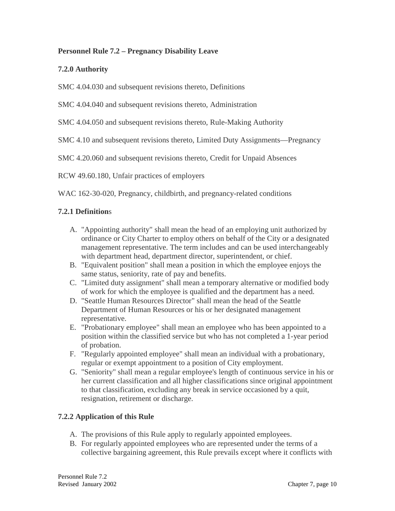## **Personnel Rule 7.2 – Pregnancy Disability Leave**

## **7.2.0 Authority**

SMC 4.04.030 and subsequent revisions thereto, Definitions

SMC 4.04.040 and subsequent revisions thereto, Administration

SMC 4.04.050 and subsequent revisions thereto, Rule-Making Authority

SMC 4.10 and subsequent revisions thereto, Limited Duty Assignments—Pregnancy

SMC 4.20.060 and subsequent revisions thereto, Credit for Unpaid Absences

RCW 49.60.180, Unfair practices of employers

WAC 162-30-020, Pregnancy, childbirth, and pregnancy-related conditions

## **7.2.1 Definition**s

- A. "Appointing authority" shall mean the head of an employing unit authorized by ordinance or City Charter to employ others on behalf of the City or a designated management representative. The term includes and can be used interchangeably with department head, department director, superintendent, or chief.
- B. "Equivalent position" shall mean a position in which the employee enjoys the same status, seniority, rate of pay and benefits.
- C. "Limited duty assignment" shall mean a temporary alternative or modified body of work for which the employee is qualified and the department has a need.
- D. "Seattle Human Resources Director" shall mean the head of the Seattle Department of Human Resources or his or her designated management representative.
- E. "Probationary employee" shall mean an employee who has been appointed to a position within the classified service but who has not completed a 1-year period of probation.
- F. "Regularly appointed employee" shall mean an individual with a probationary, regular or exempt appointment to a position of City employment.
- G. "Seniority" shall mean a regular employee's length of continuous service in his or her current classification and all higher classifications since original appointment to that classification, excluding any break in service occasioned by a quit, resignation, retirement or discharge.

## **7.2.2 Application of this Rule**

- A. The provisions of this Rule apply to regularly appointed employees.
- B. For regularly appointed employees who are represented under the terms of a collective bargaining agreement, this Rule prevails except where it conflicts with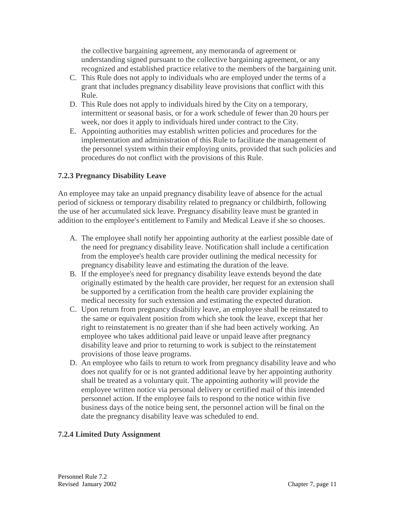the collective bargaining agreement, any memoranda of agreement or understanding signed pursuant to the collective bargaining agreement, or any recognized and established practice relative to the members of the bargaining unit.

- C. This Rule does not apply to individuals who are employed under the terms of a grant that includes pregnancy disability leave provisions that conflict with this Rule.
- D. This Rule does not apply to individuals hired by the City on a temporary, intermittent or seasonal basis, or for a work schedule of fewer than 20 hours per week, nor does it apply to individuals hired under contract to the City.
- E. Appointing authorities may establish written policies and procedures for the implementation and administration of this Rule to facilitate the management of the personnel system within their employing units, provided that such policies and procedures do not conflict with the provisions of this Rule.

## **7.2.3 Pregnancy Disability Leave**

An employee may take an unpaid pregnancy disability leave of absence for the actual period of sickness or temporary disability related to pregnancy or childbirth, following the use of her accumulated sick leave. Pregnancy disability leave must be granted in addition to the employee's entitlement to Family and Medical Leave if she so chooses.

- A. The employee shall notify her appointing authority at the earliest possible date of the need for pregnancy disability leave. Notification shall include a certification from the employee's health care provider outlining the medical necessity for pregnancy disability leave and estimating the duration of the leave.
- B. If the employee's need for pregnancy disability leave extends beyond the date originally estimated by the health care provider, her request for an extension shall be supported by a certification from the health care provider explaining the medical necessity for such extension and estimating the expected duration.
- C. Upon return from pregnancy disability leave, an employee shall be reinstated to the same or equivalent position from which she took the leave, except that her right to reinstatement is no greater than if she had been actively working. An employee who takes additional paid leave or unpaid leave after pregnancy disability leave and prior to returning to work is subject to the reinstatement provisions of those leave programs.
- D. An employee who fails to return to work from pregnancy disability leave and who does not qualify for or is not granted additional leave by her appointing authority shall be treated as a voluntary quit. The appointing authority will provide the employee written notice via personal delivery or certified mail of this intended personnel action. If the employee fails to respond to the notice within five business days of the notice being sent, the personnel action will be final on the date the pregnancy disability leave was scheduled to end.

## **7.2.4 Limited Duty Assignment**